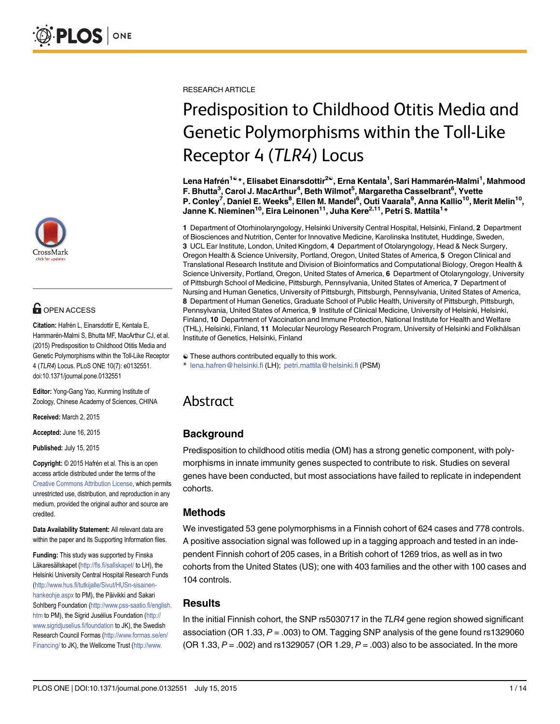

# **G** OPEN ACCESS

Citation: Hafrén L, Einarsdottir E, Kentala E, Hammarén-Malmi S, Bhutta MF, MacArthur CJ, et al. (2015) Predisposition to Childhood Otitis Media and Genetic Polymorphisms within the Toll-Like Receptor 4 (TLR4) Locus. PLoS ONE 10(7): e0132551. doi:10.1371/journal.pone.0132551

Editor: Yong-Gang Yao, Kunming Institute of Zoology, Chinese Academy of Sciences, CHINA

Received: March 2, 2015

Accepted: June 16, 2015

Published: July 15, 2015

Copyright: © 2015 Hafrén et al. This is an open access article distributed under the terms of the [Creative Commons Attribution License,](http://creativecommons.org/licenses/by/4.0/) which permits unrestricted use, distribution, and reproduction in any medium, provided the original author and source are credited.

Data Availability Statement: All relevant data are within the paper and its Supporting Information files.

Funding: This study was supported by Finska Läkaresällskapet (<http://fls.fi/sallskapet/> to LH), the Helsinki University Central Hospital Research Funds [\(http://www.hus.fi/tutkijalle/Sivut/HUSn-sisainen](http://www.hus.fi/tutkijalle/Sivut/HUSn-sisainen-hankeohje.aspx)[hankeohje.aspx](http://www.hus.fi/tutkijalle/Sivut/HUSn-sisainen-hankeohje.aspx) to PM), the Päivikki and Sakari Sohlberg Foundation [\(http://www.pss-saatio.fi/english.](http://www.pss-saatio.fi/english.htm) [htm](http://www.pss-saatio.fi/english.htm) to PM), the Sigrid Jusélius Foundation [\(http://](http://www.sigridjuselius.fi/foundation) [www.sigridjuselius.fi/foundation](http://www.sigridjuselius.fi/foundation) to JK), the Swedish Research Council Formas ([http://www.formas.se/en/](http://www.formas.se/en/Financing/) [Financing/](http://www.formas.se/en/Financing/) to JK), the Wellcome Trust [\(http://www.](http://www.wellcome.ac.uk/)

RESEARCH ARTICLE

# Predisposition to Childhood Otitis Media and Genetic Polymorphisms within the Toll-Like Receptor 4 (TLR4) Locus

Lena Hafrén<sup>1ଢ</sup>\*, Elisabet Einarsdottir<sup>2ଢ</sup>, Erna Kentala<sup>1</sup>, Sari Hammarén-Malmi<sup>1</sup>, Mahmood F. Bhutta<sup>3</sup>, Carol J. MacArthur<sup>4</sup>, Beth Wilmot<sup>5</sup>, Margaretha Casselbrant<sup>6</sup>, Yvette P. Conley<sup>7</sup>, Daniel E. Weeks<sup>8</sup>, Ellen M. Mandel<sup>6</sup>, Outi Vaarala<sup>9</sup>, Anna Kallio<sup>10</sup>, Merit Melin<sup>10</sup>, Janne K. Nieminen $^{10}$ , Eira Leinonen $^{11}$ , Juha Kere $^{2,11}$ , Petri S. Mattila $^{1\,*}$ 

1 Department of Otorhinolaryngology, Helsinki University Central Hospital, Helsinki, Finland, 2 Department of Biosciences and Nutrition, Center for Innovative Medicine, Karolinska Institutet, Huddinge, Sweden, 3 UCL Ear Institute, London, United Kingdom, 4 Department of Otolaryngology, Head & Neck Surgery, Oregon Health & Science University, Portland, Oregon, United States of America, 5 Oregon Clinical and Translational Research Institute and Division of Bioinformatics and Computational Biology, Oregon Health & Science University, Portland, Oregon, United States of America, 6 Department of Otolaryngology, University of Pittsburgh School of Medicine, Pittsburgh, Pennsylvania, United States of America, 7 Department of Nursing and Human Genetics, University of Pittsburgh, Pittsburgh, Pennsylvania, United States of America, 8 Department of Human Genetics, Graduate School of Public Health, University of Pittsburgh, Pittsburgh, Pennsylvania, United States of America, 9 Institute of Clinical Medicine, University of Helsinki, Helsinki, Finland, 10 Department of Vaccination and Immune Protection, National Institute for Health and Welfare (THL), Helsinki, Finland, 11 Molecular Neurology Research Program, University of Helsinki and Folkhälsan Institute of Genetics, Helsinki, Finland

☯ These authors contributed equally to this work.

\* lena.hafren@helsinki.fi (LH); petri.mattila@helsinki.fi (PSM)

## Abstract

## Background

Predisposition to childhood otitis media (OM) has a strong genetic component, with polymorphisms in innate immunity genes suspected to contribute to risk. Studies on several genes have been conducted, but most associations have failed to replicate in independent cohorts.

## Methods

We investigated 53 gene polymorphisms in a Finnish cohort of 624 cases and 778 controls. A positive association signal was followed up in a tagging approach and tested in an independent Finnish cohort of 205 cases, in a British cohort of 1269 trios, as well as in two cohorts from the United States (US); one with 403 families and the other with 100 cases and 104 controls.

## **Results**

In the initial Finnish cohort, the SNP rs5030717 in the TLR4 gene region showed significant association (OR 1.33,  $P = .003$ ) to OM. Tagging SNP analysis of the gene found rs1329060 (OR 1.33,  $P = .002$ ) and rs1329057 (OR 1.29,  $P = .003$ ) also to be associated. In the more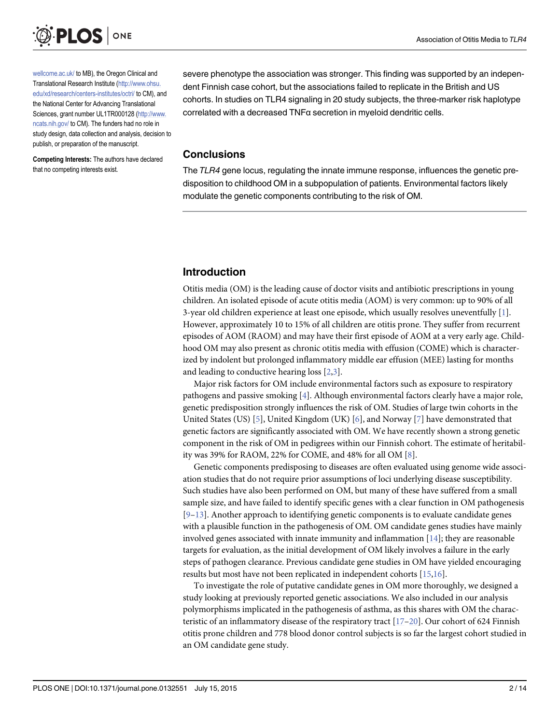<span id="page-1-0"></span>

[wellcome.ac.uk/](http://www.wellcome.ac.uk/) to MB), the Oregon Clinical and Translational Research Institute [\(http://www.ohsu.](http://www.ohsu.edu/xd/research/centers-institutes/octri/) [edu/xd/research/centers-institutes/octri/](http://www.ohsu.edu/xd/research/centers-institutes/octri/) to CM), and the National Center for Advancing Translational Sciences, grant number UL1TR000128 ([http://www.](http://www.ncats.nih.gov/) [ncats.nih.gov/](http://www.ncats.nih.gov/) to CM). The funders had no role in study design, data collection and analysis, decision to publish, or preparation of the manuscript.

Competing Interests: The authors have declared that no competing interests exist.

severe phenotype the association was stronger. This finding was supported by an independent Finnish case cohort, but the associations failed to replicate in the British and US cohorts. In studies on TLR4 signaling in 20 study subjects, the three-marker risk haplotype correlated with a decreased TNFα secretion in myeloid dendritic cells.

## Conclusions

The TLR4 gene locus, regulating the innate immune response, influences the genetic predisposition to childhood OM in a subpopulation of patients. Environmental factors likely modulate the genetic components contributing to the risk of OM.

## Introduction

Otitis media (OM) is the leading cause of doctor visits and antibiotic prescriptions in young children. An isolated episode of acute otitis media (AOM) is very common: up to 90% of all 3-year old children experience at least one episode, which usually resolves uneventfully [[1](#page-11-0)]. However, approximately 10 to 15% of all children are otitis prone. They suffer from recurrent episodes of AOM (RAOM) and may have their first episode of AOM at a very early age. Childhood OM may also present as chronic otitis media with effusion (COME) which is characterized by indolent but prolonged inflammatory middle ear effusion (MEE) lasting for months and leading to conductive hearing loss  $[2,3]$ .

Major risk factors for OM include environmental factors such as exposure to respiratory pathogens and passive smoking [[4](#page-11-0)]. Although environmental factors clearly have a major role, genetic predisposition strongly influences the risk of OM. Studies of large twin cohorts in the United States (US) [[5](#page-11-0)], United Kingdom (UK) [\[6](#page-11-0)], and Norway [[7\]](#page-11-0) have demonstrated that genetic factors are significantly associated with OM. We have recently shown a strong genetic component in the risk of OM in pedigrees within our Finnish cohort. The estimate of heritability was 39% for RAOM, 22% for COME, and 48% for all OM [[8\]](#page-11-0).

Genetic components predisposing to diseases are often evaluated using genome wide association studies that do not require prior assumptions of loci underlying disease susceptibility. Such studies have also been performed on OM, but many of these have suffered from a small sample size, and have failed to identify specific genes with a clear function in OM pathogenesis  $[9-13]$  $[9-13]$  $[9-13]$ . Another approach to identifying genetic components is to evaluate candidate genes with a plausible function in the pathogenesis of OM. OM candidate genes studies have mainly involved genes associated with innate immunity and inflammation  $[14]$  $[14]$ ; they are reasonable targets for evaluation, as the initial development of OM likely involves a failure in the early steps of pathogen clearance. Previous candidate gene studies in OM have yielded encouraging results but most have not been replicated in independent cohorts [\[15,16](#page-11-0)].

To investigate the role of putative candidate genes in OM more thoroughly, we designed a study looking at previously reported genetic associations. We also included in our analysis polymorphisms implicated in the pathogenesis of asthma, as this shares with OM the characteristic of an inflammatory disease of the respiratory tract  $[17-20]$  $[17-20]$  $[17-20]$  $[17-20]$  $[17-20]$ . Our cohort of 624 Finnish otitis prone children and 778 blood donor control subjects is so far the largest cohort studied in an OM candidate gene study.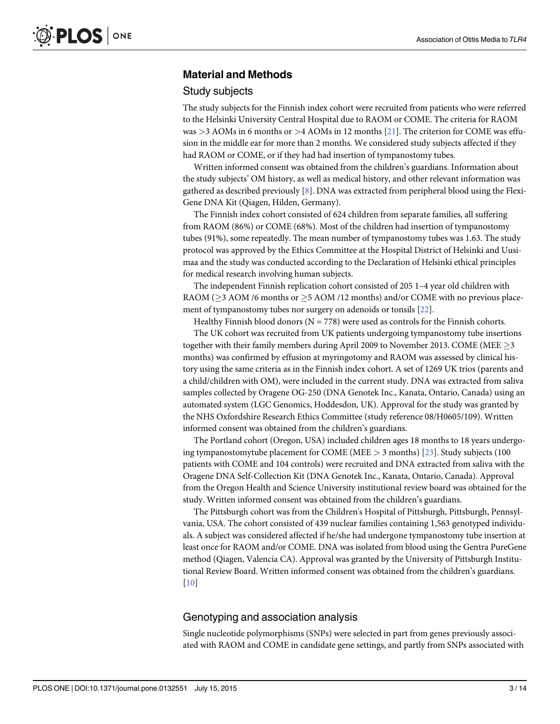## <span id="page-2-0"></span>Material and Methods

#### Study subjects

The study subjects for the Finnish index cohort were recruited from patients who were referred to the Helsinki University Central Hospital due to RAOM or COME. The criteria for RAOM was  $>3$  AOMs in 6 months or  $>4$  AOMs in 12 months [\[21](#page-12-0)]. The criterion for COME was effusion in the middle ear for more than 2 months. We considered study subjects affected if they had RAOM or COME, or if they had had insertion of tympanostomy tubes.

Written informed consent was obtained from the children's guardians. Information about the study subjects' OM history, as well as medical history, and other relevant information was gathered as described previously  $[8]$  $[8]$  $[8]$ . DNA was extracted from peripheral blood using the Flexi-Gene DNA Kit (Qiagen, Hilden, Germany).

The Finnish index cohort consisted of 624 children from separate families, all suffering from RAOM (86%) or COME (68%). Most of the children had insertion of tympanostomy tubes (91%), some repeatedly. The mean number of tympanostomy tubes was 1.63. The study protocol was approved by the Ethics Committee at the Hospital District of Helsinki and Uusimaa and the study was conducted according to the Declaration of Helsinki ethical principles for medical research involving human subjects.

The independent Finnish replication cohort consisted of 205 1–4 year old children with RAOM ( $\geq$ 3 AOM /6 months or  $\geq$ 5 AOM /12 months) and/or COME with no previous placement of tympanostomy tubes nor surgery on adenoids or tonsils [\[22](#page-12-0)].

Healthy Finnish blood donors ( $N = 778$ ) were used as controls for the Finnish cohorts.

The UK cohort was recruited from UK patients undergoing tympanostomy tube insertions together with their family members during April 2009 to November 2013. COME (MEE  $\geq$  3 months) was confirmed by effusion at myringotomy and RAOM was assessed by clinical history using the same criteria as in the Finnish index cohort. A set of 1269 UK trios (parents and a child/children with OM), were included in the current study. DNA was extracted from saliva samples collected by Oragene OG-250 (DNA Genotek Inc., Kanata, Ontario, Canada) using an automated system (LGC Genomics, Hoddesdon, UK). Approval for the study was granted by the NHS Oxfordshire Research Ethics Committee (study reference 08/H0605/109). Written informed consent was obtained from the children's guardians.

The Portland cohort (Oregon, USA) included children ages 18 months to 18 years undergoing tympanostomytube placement for COME (MEE > 3 months) [[23](#page-12-0)]. Study subjects (100 patients with COME and 104 controls) were recruited and DNA extracted from saliva with the Oragene DNA Self-Collection Kit (DNA Genotek Inc., Kanata, Ontario, Canada). Approval from the Oregon Health and Science University institutional review board was obtained for the study. Written informed consent was obtained from the children's guardians.

The Pittsburgh cohort was from the Children's Hospital of Pittsburgh, Pittsburgh, Pennsylvania, USA. The cohort consisted of 439 nuclear families containing 1,563 genotyped individuals. A subject was considered affected if he/she had undergone tympanostomy tube insertion at least once for RAOM and/or COME. DNA was isolated from blood using the Gentra PureGene method (Qiagen, Valencia CA). Approval was granted by the University of Pittsburgh Institutional Review Board. Written informed consent was obtained from the children's guardians. [\[10](#page-11-0)]

#### Genotyping and association analysis

Single nucleotide polymorphisms (SNPs) were selected in part from genes previously associated with RAOM and COME in candidate gene settings, and partly from SNPs associated with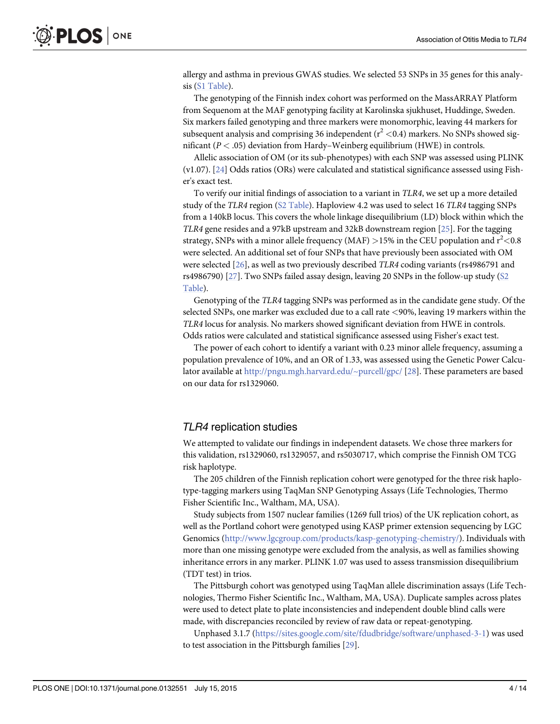<span id="page-3-0"></span>allergy and asthma in previous GWAS studies. We selected 53 SNPs in 35 genes for this analysis ([S1 Table](#page-10-0)).

The genotyping of the Finnish index cohort was performed on the MassARRAY Platform from Sequenom at the MAF genotyping facility at Karolinska sjukhuset, Huddinge, Sweden. Six markers failed genotyping and three markers were monomorphic, leaving 44 markers for subsequent analysis and comprising 36 independent ( $r^2$  <0.4) markers. No SNPs showed significant ( $P < .05$ ) deviation from Hardy–Weinberg equilibrium (HWE) in controls.

Allelic association of OM (or its sub-phenotypes) with each SNP was assessed using PLINK (v1.07). [[24](#page-12-0)] Odds ratios (ORs) were calculated and statistical significance assessed using Fisher's exact test.

To verify our initial findings of association to a variant in TLR4, we set up a more detailed study of the TLR4 region ([S2 Table\)](#page-10-0). Haploview 4.2 was used to select 16 TLR4 tagging SNPs from a 140kB locus. This covers the whole linkage disequilibrium (LD) block within which the TLR4 gene resides and a 97kB upstream and 32kB downstream region [\[25\]](#page-12-0). For the tagging strategy, SNPs with a minor allele frequency (MAF)  $>$ 15% in the CEU population and  $r^2$ <0.8 were selected. An additional set of four SNPs that have previously been associated with OM were selected [[26](#page-12-0)], as well as two previously described TLR4 coding variants (rs4986791 and rs4986790)  $[27]$  $[27]$ . Two SNPs failed assay design, leaving 20 SNPs in the follow-up study ([S2](#page-10-0) [Table](#page-10-0)).

Genotyping of the TLR4 tagging SNPs was performed as in the candidate gene study. Of the selected SNPs, one marker was excluded due to a call rate <90%, leaving 19 markers within the TLR4 locus for analysis. No markers showed significant deviation from HWE in controls. Odds ratios were calculated and statistical significance assessed using Fisher's exact test.

The power of each cohort to identify a variant with 0.23 minor allele frequency, assuming a population prevalence of 10%, and an OR of 1.33, was assessed using the Genetic Power Calculator available at <http://pngu.mgh.harvard.edu/~purcell/gpc/> [[28](#page-12-0)]. These parameters are based on our data for rs1329060.

#### TLR4 replication studies

We attempted to validate our findings in independent datasets. We chose three markers for this validation, rs1329060, rs1329057, and rs5030717, which comprise the Finnish OM TCG risk haplotype.

The 205 children of the Finnish replication cohort were genotyped for the three risk haplotype-tagging markers using TaqMan SNP Genotyping Assays (Life Technologies, Thermo Fisher Scientific Inc., Waltham, MA, USA).

Study subjects from 1507 nuclear families (1269 full trios) of the UK replication cohort, as well as the Portland cohort were genotyped using KASP primer extension sequencing by LGC Genomics (<http://www.lgcgroup.com/products/kasp-genotyping-chemistry/>). Individuals with more than one missing genotype were excluded from the analysis, as well as families showing inheritance errors in any marker. PLINK 1.07 was used to assess transmission disequilibrium (TDT test) in trios.

The Pittsburgh cohort was genotyped using TaqMan allele discrimination assays (Life Technologies, Thermo Fisher Scientific Inc., Waltham, MA, USA). Duplicate samples across plates were used to detect plate to plate inconsistencies and independent double blind calls were made, with discrepancies reconciled by review of raw data or repeat-genotyping.

Unphased 3.1.7 [\(https://sites.google.com/site/fdudbridge/software/unphased-3-1\)](https://sites.google.com/site/fdudbridge/software/unphased-3-1) was used to test association in the Pittsburgh families [[29](#page-12-0)].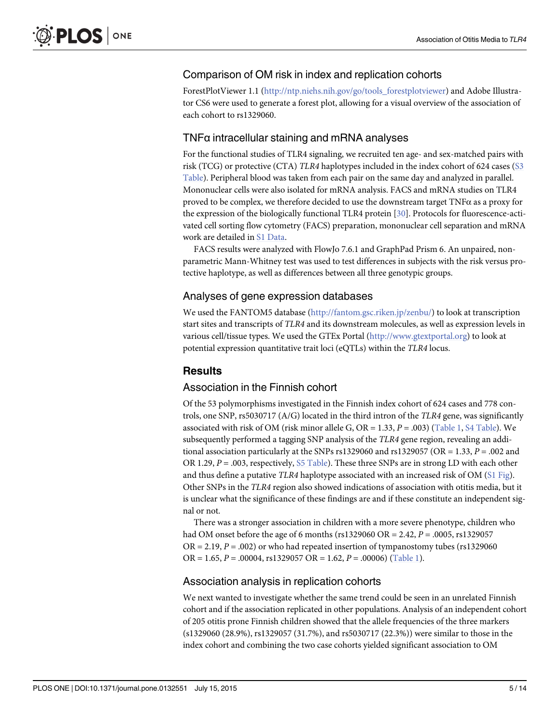## <span id="page-4-0"></span>Comparison of OM risk in index and replication cohorts

ForestPlotViewer 1.1 ([http://ntp.niehs.nih.gov/go/tools\\_forestplotviewer](http://ntp.niehs.nih.gov/go/tools_forestplotviewer)) and Adobe Illustrator CS6 were used to generate a forest plot, allowing for a visual overview of the association of each cohort to rs1329060.

## TNFα intracellular staining and mRNA analyses

For the functional studies of TLR4 signaling, we recruited ten age- and sex-matched pairs with risk (TCG) or protective (CTA) TLR4 haplotypes included in the index cohort of 624 cases [\(S3](#page-10-0) [Table](#page-10-0)). Peripheral blood was taken from each pair on the same day and analyzed in parallel. Mononuclear cells were also isolated for mRNA analysis. FACS and mRNA studies on TLR4 proved to be complex, we therefore decided to use the downstream target TNFα as a proxy for the expression of the biologically functional TLR4 protein [[30](#page-12-0)]. Protocols for fluorescence-activated cell sorting flow cytometry (FACS) preparation, mononuclear cell separation and mRNA work are detailed in [S1 Data](#page-10-0).

FACS results were analyzed with FlowJo 7.6.1 and GraphPad Prism 6. An unpaired, nonparametric Mann-Whitney test was used to test differences in subjects with the risk versus protective haplotype, as well as differences between all three genotypic groups.

## Analyses of gene expression databases

We used the FANTOM5 database ([http://fantom.gsc.riken.jp/zenbu/\)](http://fantom.gsc.riken.jp/zenbu/) to look at transcription start sites and transcripts of TLR4 and its downstream molecules, as well as expression levels in various cell/tissue types. We used the GTEx Portal [\(http://www.gtextportal.org\)](http://www.gtextportal.org/) to look at potential expression quantitative trait loci (eQTLs) within the TLR4 locus.

## **Results**

## Association in the Finnish cohort

Of the 53 polymorphisms investigated in the Finnish index cohort of 624 cases and 778 controls, one SNP, rs5030717 (A/G) located in the third intron of the TLR4 gene, was significantly associated with risk of OM (risk minor allele G, OR =  $1.33$ ,  $P = .003$ ) [\(Table 1,](#page-5-0) [S4 Table\)](#page-10-0). We subsequently performed a tagging SNP analysis of the TLR4 gene region, revealing an additional association particularly at the SNPs rs1329060 and rs1329057 (OR = 1.33,  $P = .002$  and OR 1.29,  $P = .003$ , respectively,  $S5$  Table). These three SNPs are in strong LD with each other and thus define a putative TLR4 haplotype associated with an increased risk of OM  $(S1$  Fig). Other SNPs in the TLR4 region also showed indications of association with otitis media, but it is unclear what the significance of these findings are and if these constitute an independent signal or not.

There was a stronger association in children with a more severe phenotype, children who had OM onset before the age of 6 months (rs1329060 OR = 2.42,  $P = 0.0005$ , rs1329057  $OR = 2.19$ ,  $P = .002$ ) or who had repeated insertion of tympanostomy tubes (rs1329060) OR = 1.65,  $P = .00004$ , rs1329057 OR = 1.62,  $P = .00006$ ) ([Table 1\)](#page-5-0).

## Association analysis in replication cohorts

We next wanted to investigate whether the same trend could be seen in an unrelated Finnish cohort and if the association replicated in other populations. Analysis of an independent cohort of 205 otitis prone Finnish children showed that the allele frequencies of the three markers (s1329060 (28.9%), rs1329057 (31.7%), and rs5030717 (22.3%)) were similar to those in the index cohort and combining the two case cohorts yielded significant association to OM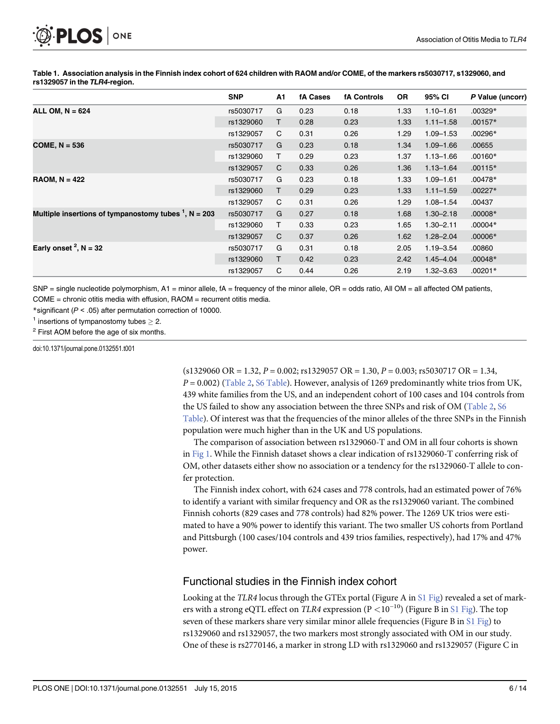<span id="page-5-0"></span>

[Table 1.](#page-4-0) Association analysis in the Finnish index cohort of 624 children with RAOM and/or COME, of the markers rs5030717, s1329060, and rs1329057 in the TLR4-region.

|                                                         | <b>SNP</b> | A1 | <b>fA Cases</b> | <b>fA Controls</b> | <b>OR</b> | 95% CI        | P Value (uncorr) |
|---------------------------------------------------------|------------|----|-----------------|--------------------|-----------|---------------|------------------|
| ALL OM, $N = 624$                                       | rs5030717  | G  | 0.23            | 0.18               | 1.33      | $1.10 - 1.61$ | $.00329*$        |
|                                                         | rs1329060  | T. | 0.28            | 0.23               | 1.33      | $1.11 - 1.58$ | $.00157*$        |
|                                                         | rs1329057  | C  | 0.31            | 0.26               | 1.29      | $1.09 - 1.53$ | $.00296*$        |
| COME, $N = 536$                                         | rs5030717  | G  | 0.23            | 0.18               | 1.34      | $1.09 - 1.66$ | .00655           |
|                                                         | rs1329060  | т  | 0.29            | 0.23               | 1.37      | $1.13 - 1.66$ | $.00160*$        |
|                                                         | rs1329057  | C  | 0.33            | 0.26               | 1.36      | $1.13 - 1.64$ | $.00115*$        |
| $RAOM, N = 422$                                         | rs5030717  | G  | 0.23            | 0.18               | 1.33      | $1.09 - 1.61$ | $.00478*$        |
|                                                         | rs1329060  | т  | 0.29            | 0.23               | 1.33      | $1.11 - 1.59$ | $.00227*$        |
|                                                         | rs1329057  | C  | 0.31            | 0.26               | 1.29      | $1.08 - 1.54$ | .00437           |
| Multiple insertions of tympanostomy tubes $1$ , N = 203 | rs5030717  | G  | 0.27            | 0.18               | 1.68      | $1.30 - 2.18$ | $.00008*$        |
|                                                         | rs1329060  | т  | 0.33            | 0.23               | 1.65      | $1.30 - 2.11$ | $.00004*$        |
|                                                         | rs1329057  | C  | 0.37            | 0.26               | 1.62      | $1.28 - 2.04$ | $.00006*$        |
| Early onset $2$ , N = 32                                | rs5030717  | G  | 0.31            | 0.18               | 2.05      | $1.19 - 3.54$ | .00860           |
|                                                         | rs1329060  | т  | 0.42            | 0.23               | 2.42      | $1.45 - 4.04$ | $.00048*$        |
|                                                         | rs1329057  | C  | 0.44            | 0.26               | 2.19      | 1.32–3.63     | $.00201*$        |

 $SNP =$  single nucleotide polymorphism, A1 = minor allele, fA = frequency of the minor allele, OR = odds ratio, All OM = all affected OM patients, COME = chronic otitis media with effusion, RAOM = recurrent otitis media.

\*significant ( $P < .05$ ) after permutation correction of 10000.

<sup>1</sup> insertions of tympanostomy tubes  $\geq$  2.

<sup>2</sup> First AOM before the age of six months.

doi:10.1371/journal.pone.0132551.t001

 $(s1329060 \text{ OR } = 1.32, P = 0.002; \text{rs}1329057 \text{ OR } = 1.30, P = 0.003; \text{rs}5030717 \text{ OR } = 1.34,$  $P = 0.002$ ) [\(Table 2](#page-6-0), [S6 Table\)](#page-10-0). However, analysis of 1269 predominantly white trios from UK, 439 white families from the US, and an independent cohort of 100 cases and 104 controls from the US failed to show any association between the three SNPs and risk of OM ([Table 2,](#page-6-0) [S6](#page-10-0)) [Table](#page-10-0)). Of interest was that the frequencies of the minor alleles of the three SNPs in the Finnish population were much higher than in the UK and US populations.

The comparison of association between rs1329060-T and OM in all four cohorts is shown in [Fig 1.](#page-7-0) While the Finnish dataset shows a clear indication of rs1329060-T conferring risk of OM, other datasets either show no association or a tendency for the rs1329060-T allele to confer protection.

The Finnish index cohort, with 624 cases and 778 controls, had an estimated power of 76% to identify a variant with similar frequency and OR as the rs1329060 variant. The combined Finnish cohorts (829 cases and 778 controls) had 82% power. The 1269 UK trios were estimated to have a 90% power to identify this variant. The two smaller US cohorts from Portland and Pittsburgh (100 cases/104 controls and 439 trios families, respectively), had 17% and 47% power.

## Functional studies in the Finnish index cohort

Looking at the TLR4 locus through the GTEx portal (Figure A in [S1 Fig](#page-10-0)) revealed a set of markers with a strong eQTL effect on TLR4 expression ( $P < 10^{-10}$ ) (Figure B in [S1 Fig\)](#page-10-0). The top seven of these markers share very similar minor allele frequencies (Figure B in [S1 Fig](#page-10-0)) to rs1329060 and rs1329057, the two markers most strongly associated with OM in our study. One of these is rs2770146, a marker in strong LD with rs1329060 and rs1329057 (Figure C in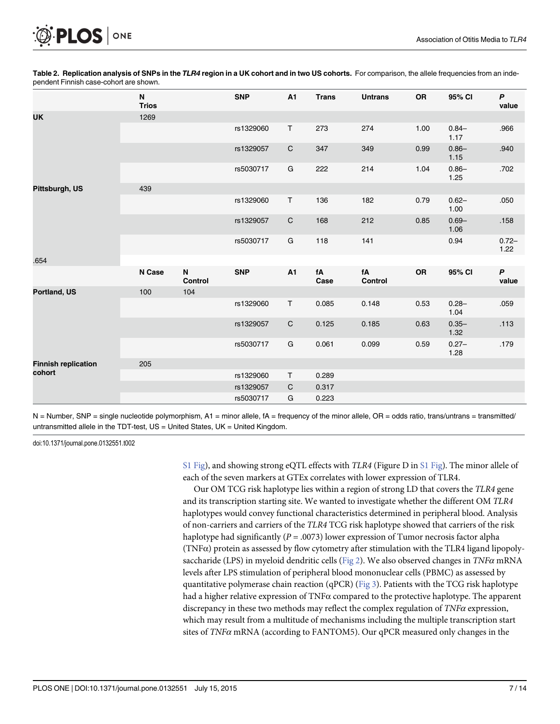<span id="page-6-0"></span>

|                                      | N<br><b>Trios</b> |              | <b>SNP</b> | A1           | <b>Trans</b> | <b>Untrans</b> | <b>OR</b> | 95% CI           | P<br>value       |
|--------------------------------------|-------------------|--------------|------------|--------------|--------------|----------------|-----------|------------------|------------------|
| <b>UK</b>                            | 1269              |              |            |              |              |                |           |                  |                  |
|                                      |                   |              | rs1329060  | T.           | 273          | 274            | 1.00      | $0.84 -$<br>1.17 | .966             |
|                                      |                   |              | rs1329057  | $\mathsf C$  | 347          | 349            | 0.99      | $0.86 -$<br>1.15 | .940             |
|                                      |                   |              | rs5030717  | G            | 222          | 214            | 1.04      | $0.86 -$<br>1.25 | .702             |
| Pittsburgh, US                       | 439               |              |            |              |              |                |           |                  |                  |
|                                      |                   |              | rs1329060  | T            | 136          | 182            | 0.79      | $0.62 -$<br>1.00 | .050             |
|                                      |                   |              | rs1329057  | $\mathsf C$  | 168          | 212            | 0.85      | $0.69 -$<br>1.06 | .158             |
|                                      |                   |              | rs5030717  | ${\bf G}$    | 118          | 141            |           | 0.94             | $0.72 -$<br>1.22 |
| .654                                 |                   |              |            |              |              |                |           |                  |                  |
|                                      | N Case            | N<br>Control | <b>SNP</b> | A1           | fA<br>Case   | fA<br>Control  | OR        | 95% CI           | P<br>value       |
| Portland, US                         | 100               | 104          |            |              |              |                |           |                  |                  |
|                                      |                   |              | rs1329060  | T            | 0.085        | 0.148          | 0.53      | $0.28 -$<br>1.04 | .059             |
|                                      |                   |              | rs1329057  | $\mathsf{C}$ | 0.125        | 0.185          | 0.63      | $0.35 -$<br>1.32 | .113             |
|                                      |                   |              | rs5030717  | G            | 0.061        | 0.099          | 0.59      | $0.27 -$<br>1.28 | .179             |
| <b>Finnish replication</b><br>cohort | 205               |              |            |              |              |                |           |                  |                  |
|                                      |                   |              | rs1329060  | T.           | 0.289        |                |           |                  |                  |
|                                      |                   |              | rs1329057  | C            | 0.317        |                |           |                  |                  |
|                                      |                   |              | rs5030717  | G            | 0.223        |                |           |                  |                  |

[Table 2.](#page-5-0) Replication analysis of SNPs in the TLR4 region in a UK cohort and in two US cohorts. For comparison, the allele frequencies from an independent Finnish case-cohort are shown.

 $N =$  Number, SNP = single nucleotide polymorphism, A1 = minor allele, fA = frequency of the minor allele, OR = odds ratio, trans/untrans = transmitted/ untransmitted allele in the TDT-test, US = United States, UK = United Kingdom.

doi:10.1371/journal.pone.0132551.t002

[S1 Fig](#page-10-0)), and showing strong eQTL effects with *TLR4* (Figure D in [S1 Fig\)](#page-10-0). The minor allele of each of the seven markers at GTEx correlates with lower expression of TLR4.

Our OM TCG risk haplotype lies within a region of strong LD that covers the TLR4 gene and its transcription starting site. We wanted to investigate whether the different OM TLR4 haplotypes would convey functional characteristics determined in peripheral blood. Analysis of non-carriers and carriers of the TLR4 TCG risk haplotype showed that carriers of the risk haplotype had significantly ( $P = .0073$ ) lower expression of Tumor necrosis factor alpha (TNFα) protein as assessed by flow cytometry after stimulation with the TLR4 ligand lipopoly-saccharide (LPS) in myeloid dendritic cells [\(Fig 2\)](#page-7-0). We also observed changes in  $TNF\alpha$  mRNA levels after LPS stimulation of peripheral blood mononuclear cells (PBMC) as assessed by quantitative polymerase chain reaction (qPCR) ( $Fig 3$ ). Patients with the TCG risk haplotype had a higher relative expression of  $TNF\alpha$  compared to the protective haplotype. The apparent discrepancy in these two methods may reflect the complex regulation of TNF $\alpha$  expression, which may result from a multitude of mechanisms including the multiple transcription start sites of  $TNF\alpha$  mRNA (according to FANTOM5). Our qPCR measured only changes in the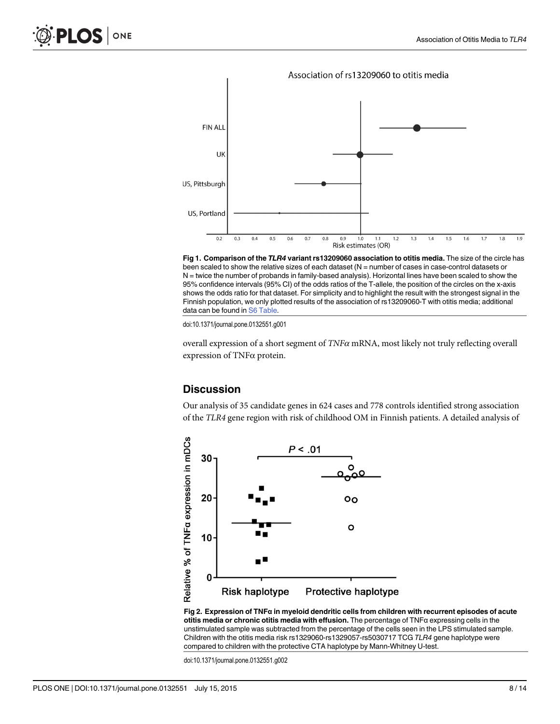

<span id="page-7-0"></span>

[Fig 1. C](#page-5-0)omparison of the TLR4 variant rs13209060 association to otitis media. The size of the circle has been scaled to show the relative sizes of each dataset (N = number of cases in case-control datasets or N = twice the number of probands in family-based analysis). Horizontal lines have been scaled to show the 95% confidence intervals (95% CI) of the odds ratios of the T-allele, the position of the circles on the x-axis shows the odds ratio for that dataset. For simplicity and to highlight the result with the strongest signal in the Finnish population, we only plotted results of the association of rs13209060-T with otitis media; additional data can be found in [S6 Table.](#page-10-0)

doi:10.1371/journal.pone.0132551.g001

overall expression of a short segment of  $TNF\alpha$  mRNA, most likely not truly reflecting overall expression of TNFα protein.

## **Discussion**

Our analysis of 35 candidate genes in 624 cases and 778 controls identified strong association of the TLR4 gene region with risk of childhood OM in Finnish patients. A detailed analysis of



[Fig 2. E](#page-6-0)xpression of TNFα in myeloid dendritic cells from children with recurrent episodes of acute otitis media or chronic otitis media with effusion. The percentage of  $TNF\alpha$  expressing cells in the unstimulated sample was subtracted from the percentage of the cells seen in the LPS stimulated sample. Children with the otitis media risk rs1329060-rs1329057-rs5030717 TCG TLR4 gene haplotype were compared to children with the protective CTA haplotype by Mann-Whitney U-test.

doi:10.1371/journal.pone.0132551.g002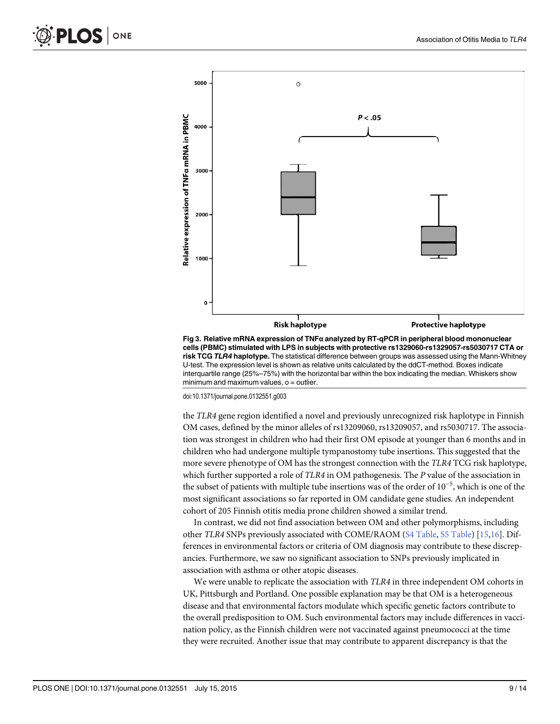<span id="page-8-0"></span>

[Fig 3. R](#page-6-0)elative mRNA expression of TNFα analyzed by RT-qPCR in peripheral blood mononuclear cells (PBMC) stimulated with LPS in subjects with protective rs1329060-rs1329057-rs5030717 CTA or risk TCG TLR4 haplotype. The statistical difference between groups was assessed using the Mann-Whitney U-test. The expression level is shown as relative units calculated by the ddCT-method. Boxes indicate interquartile range (25%–75%) with the horizontal bar within the box indicating the median. Whiskers show  $minimum$  and maximum values,  $o =$  outlier.

doi:10.1371/journal.pone.0132551.g003

the TLR4 gene region identified a novel and previously unrecognized risk haplotype in Finnish OM cases, defined by the minor alleles of rs13209060, rs13209057, and rs5030717. The association was strongest in children who had their first OM episode at younger than 6 months and in children who had undergone multiple tympanostomy tube insertions. This suggested that the more severe phenotype of OM has the strongest connection with the TLR4 TCG risk haplotype, which further supported a role of TLR4 in OM pathogenesis. The P value of the association in the subset of patients with multiple tube insertions was of the order of 10−<sup>5</sup> , which is one of the most significant associations so far reported in OM candidate gene studies. An independent cohort of 205 Finnish otitis media prone children showed a similar trend.

In contrast, we did not find association between OM and other polymorphisms, including other TLR4 SNPs previously associated with COME/RAOM [\(S4 Table](#page-10-0), [S5 Table\)](#page-10-0) [[15,16](#page-11-0)]. Differences in environmental factors or criteria of OM diagnosis may contribute to these discrepancies. Furthermore, we saw no significant association to SNPs previously implicated in association with asthma or other atopic diseases.

We were unable to replicate the association with  $TLR4$  in three independent OM cohorts in UK, Pittsburgh and Portland. One possible explanation may be that OM is a heterogeneous disease and that environmental factors modulate which specific genetic factors contribute to the overall predisposition to OM. Such environmental factors may include differences in vaccination policy, as the Finnish children were not vaccinated against pneumococci at the time they were recruited. Another issue that may contribute to apparent discrepancy is that the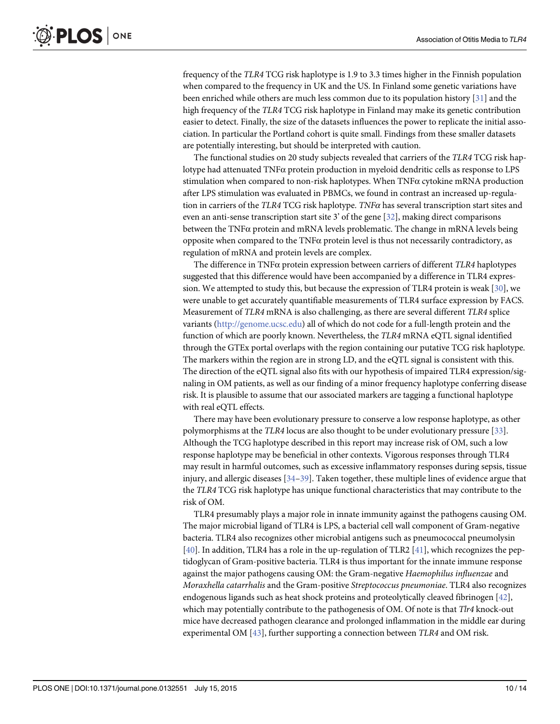<span id="page-9-0"></span>frequency of the TLR4 TCG risk haplotype is 1.9 to 3.3 times higher in the Finnish population when compared to the frequency in UK and the US. In Finland some genetic variations have been enriched while others are much less common due to its population history [[31\]](#page-12-0) and the high frequency of the TLR4 TCG risk haplotype in Finland may make its genetic contribution easier to detect. Finally, the size of the datasets influences the power to replicate the initial association. In particular the Portland cohort is quite small. Findings from these smaller datasets are potentially interesting, but should be interpreted with caution.

The functional studies on 20 study subjects revealed that carriers of the TLR4 TCG risk haplotype had attenuated TNFα protein production in myeloid dendritic cells as response to LPS stimulation when compared to non-risk haplotypes. When  $TNF\alpha$  cytokine mRNA production after LPS stimulation was evaluated in PBMCs, we found in contrast an increased up-regulation in carriers of the TLR4 TCG risk haplotype. TNF $\alpha$  has several transcription start sites and even an anti-sense transcription start site 3' of the gene [\[32\]](#page-12-0), making direct comparisons between the  $TNF\alpha$  protein and mRNA levels problematic. The change in mRNA levels being opposite when compared to the TNFα protein level is thus not necessarily contradictory, as regulation of mRNA and protein levels are complex.

The difference in TNFα protein expression between carriers of different TLR4 haplotypes suggested that this difference would have been accompanied by a difference in TLR4 expression. We attempted to study this, but because the expression of TLR4 protein is weak [[30](#page-12-0)], we were unable to get accurately quantifiable measurements of TLR4 surface expression by FACS. Measurement of TLR4 mRNA is also challenging, as there are several different TLR4 splice variants [\(http://genome.ucsc.edu](http://genome.ucsc.edu/)) all of which do not code for a full-length protein and the function of which are poorly known. Nevertheless, the TLR4 mRNA eQTL signal identified through the GTEx portal overlaps with the region containing our putative TCG risk haplotype. The markers within the region are in strong LD, and the eQTL signal is consistent with this. The direction of the eQTL signal also fits with our hypothesis of impaired TLR4 expression/signaling in OM patients, as well as our finding of a minor frequency haplotype conferring disease risk. It is plausible to assume that our associated markers are tagging a functional haplotype with real eQTL effects.

There may have been evolutionary pressure to conserve a low response haplotype, as other polymorphisms at the TLR4 locus are also thought to be under evolutionary pressure [[33](#page-12-0)]. Although the TCG haplotype described in this report may increase risk of OM, such a low response haplotype may be beneficial in other contexts. Vigorous responses through TLR4 may result in harmful outcomes, such as excessive inflammatory responses during sepsis, tissue injury, and allergic diseases  $[34–39]$  $[34–39]$  $[34–39]$ . Taken together, these multiple lines of evidence argue that the TLR4 TCG risk haplotype has unique functional characteristics that may contribute to the risk of OM.

TLR4 presumably plays a major role in innate immunity against the pathogens causing OM. The major microbial ligand of TLR4 is LPS, a bacterial cell wall component of Gram-negative bacteria. TLR4 also recognizes other microbial antigens such as pneumococcal pneumolysin [\[40](#page-12-0)]. In addition, TLR4 has a role in the up-regulation of TLR2 [[41](#page-13-0)], which recognizes the peptidoglycan of Gram-positive bacteria. TLR4 is thus important for the innate immune response against the major pathogens causing OM: the Gram-negative Haemophilus influenzae and Moraxhella catarrhalis and the Gram-positive Streptococcus pneumoniae. TLR4 also recognizes endogenous ligands such as heat shock proteins and proteolytically cleaved fibrinogen [\[42](#page-13-0)], which may potentially contribute to the pathogenesis of OM. Of note is that  $T\ell r4$  knock-out mice have decreased pathogen clearance and prolonged inflammation in the middle ear during experimental OM [\[43\]](#page-13-0), further supporting a connection between TLR4 and OM risk.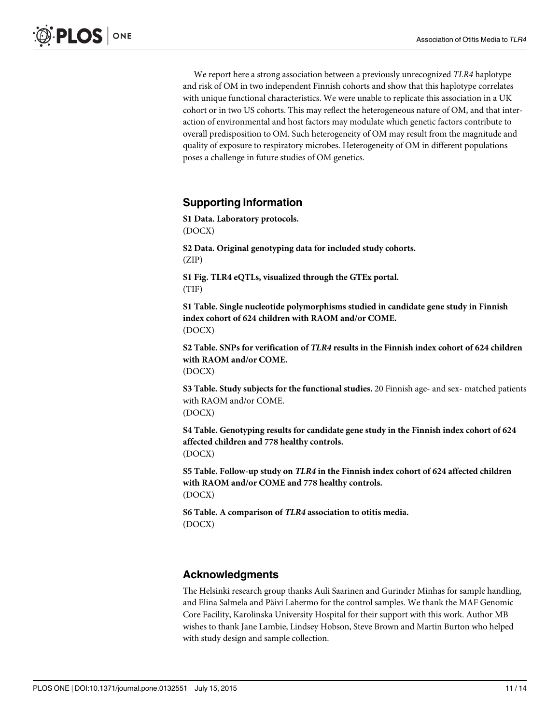<span id="page-10-0"></span>We report here a strong association between a previously unrecognized TLR4 haplotype and risk of OM in two independent Finnish cohorts and show that this haplotype correlates with unique functional characteristics. We were unable to replicate this association in a UK cohort or in two US cohorts. This may reflect the heterogeneous nature of OM, and that interaction of environmental and host factors may modulate which genetic factors contribute to overall predisposition to OM. Such heterogeneity of OM may result from the magnitude and quality of exposure to respiratory microbes. Heterogeneity of OM in different populations poses a challenge in future studies of OM genetics.

## Supporting Information

[S1 Data](http://www.plosone.org/article/fetchSingleRepresentation.action?uri=info:doi/10.1371/journal.pone.0132551.s001). Laboratory protocols. (DOCX)

[S2 Data](http://www.plosone.org/article/fetchSingleRepresentation.action?uri=info:doi/10.1371/journal.pone.0132551.s002). Original genotyping data for included study cohorts. (ZIP)

[S1 Fig.](http://www.plosone.org/article/fetchSingleRepresentation.action?uri=info:doi/10.1371/journal.pone.0132551.s003) TLR4 eQTLs, visualized through the GTEx portal. (TIF)

[S1 Table](http://www.plosone.org/article/fetchSingleRepresentation.action?uri=info:doi/10.1371/journal.pone.0132551.s004). Single nucleotide polymorphisms studied in candidate gene study in Finnish index cohort of 624 children with RAOM and/or COME. (DOCX)

[S2 Table](http://www.plosone.org/article/fetchSingleRepresentation.action?uri=info:doi/10.1371/journal.pone.0132551.s005). SNPs for verification of TLR4 results in the Finnish index cohort of 624 children with RAOM and/or COME. (DOCX)

[S3 Table](http://www.plosone.org/article/fetchSingleRepresentation.action?uri=info:doi/10.1371/journal.pone.0132551.s006). Study subjects for the functional studies. 20 Finnish age- and sex- matched patients with RAOM and/or COME. (DOCX)

[S4 Table](http://www.plosone.org/article/fetchSingleRepresentation.action?uri=info:doi/10.1371/journal.pone.0132551.s007). Genotyping results for candidate gene study in the Finnish index cohort of 624 affected children and 778 healthy controls. (DOCX)

[S5 Table](http://www.plosone.org/article/fetchSingleRepresentation.action?uri=info:doi/10.1371/journal.pone.0132551.s008). Follow-up study on TLR4 in the Finnish index cohort of 624 affected children with RAOM and/or COME and 778 healthy controls. (DOCX)

[S6 Table](http://www.plosone.org/article/fetchSingleRepresentation.action?uri=info:doi/10.1371/journal.pone.0132551.s009). A comparison of TLR4 association to otitis media. (DOCX)

## Acknowledgments

The Helsinki research group thanks Auli Saarinen and Gurinder Minhas for sample handling, and Elina Salmela and Päivi Lahermo for the control samples. We thank the MAF Genomic Core Facility, Karolinska University Hospital for their support with this work. Author MB wishes to thank Jane Lambie, Lindsey Hobson, Steve Brown and Martin Burton who helped with study design and sample collection.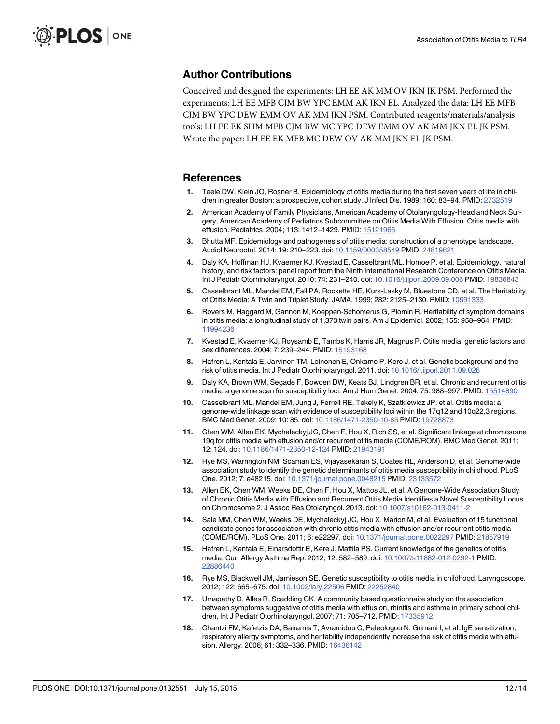## <span id="page-11-0"></span>Author Contributions

Conceived and designed the experiments: LH EE AK MM OV JKN JK PSM. Performed the experiments: LH EE MFB CJM BW YPC EMM AK JKN EL. Analyzed the data: LH EE MFB CJM BW YPC DEW EMM OV AK MM JKN PSM. Contributed reagents/materials/analysis tools: LH EE EK SHM MFB CJM BW MC YPC DEW EMM OV AK MM JKN EL JK PSM. Wrote the paper: LH EE EK MFB MC DEW OV AK MM JKN EL JK PSM.

#### References

- [1.](#page-1-0) Teele DW, Klein JO, Rosner B. Epidemiology of otitis media during the first seven years of life in children in greater Boston: a prospective, cohort study. J Infect Dis. 1989; 160: 83–94. PMID: [2732519](http://www.ncbi.nlm.nih.gov/pubmed/2732519)
- [2.](#page-1-0) American Academy of Family Physicians, American Academy of Otolaryngology-Head and Neck Surgery, American Academy of Pediatrics Subcommittee on Otitis Media With Effusion. Otitis media with effusion. Pediatrics. 2004; 113: 1412–1429. PMID: [15121966](http://www.ncbi.nlm.nih.gov/pubmed/15121966)
- [3.](#page-1-0) Bhutta MF. Epidemiology and pathogenesis of otitis media: construction of a phenotype landscape. Audiol Neurootol. 2014; 19: 210-223. doi: [10.1159/000358549](http://dx.doi.org/10.1159/000358549) PMID: [24819621](http://www.ncbi.nlm.nih.gov/pubmed/24819621)
- [4.](#page-1-0) Daly KA, Hoffman HJ, Kvaerner KJ, Kvestad E, Casselbrant ML, Homoe P, et al. Epidemiology, natural history, and risk factors: panel report from the Ninth International Research Conference on Otitis Media. Int J Pediatr Otorhinolaryngol. 2010; 74: 231–240. doi: [10.1016/j.ijporl.2009.09.006](http://dx.doi.org/10.1016/j.ijporl.2009.09.006) PMID: [19836843](http://www.ncbi.nlm.nih.gov/pubmed/19836843)
- [5.](#page-1-0) Casselbrant ML, Mandel EM, Fall PA, Rockette HE, Kurs-Lasky M, Bluestone CD, et al. The Heritability of Otitis Media: A Twin and Triplet Study. JAMA. 1999; 282: 2125–2130. PMID: [10591333](http://www.ncbi.nlm.nih.gov/pubmed/10591333)
- [6.](#page-1-0) Rovers M, Haggard M, Gannon M, Koeppen-Schomerus G, Plomin R. Heritability of symptom domains in otitis media: a longitudinal study of 1,373 twin pairs. Am J Epidemiol. 2002; 155: 958–964. PMID: [11994236](http://www.ncbi.nlm.nih.gov/pubmed/11994236)
- [7.](#page-1-0) Kvestad E, Kvaerner KJ, Roysamb E, Tambs K, Harris JR, Magnus P. Otitis media: genetic factors and sex differences. 2004; 7: 239–244. PMID: [15193168](http://www.ncbi.nlm.nih.gov/pubmed/15193168)
- [8.](#page-1-0) Hafren L, Kentala E, Jarvinen TM, Leinonen E, Onkamo P, Kere J, et al. Genetic background and the risk of otitis media. Int J Pediatr Otorhinolaryngol. 2011. doi: [10.1016/j.ijporl.2011.09.026](http://dx.doi.org/10.1016/j.ijporl.2011.09.026)
- [9.](#page-1-0) Daly KA, Brown WM, Segade F, Bowden DW, Keats BJ, Lindgren BR, et al. Chronic and recurrent otitis media: a genome scan for susceptibility loci. Am J Hum Genet. 2004; 75: 988–997. PMID: [15514890](http://www.ncbi.nlm.nih.gov/pubmed/15514890)
- [10.](#page-2-0) Casselbrant ML, Mandel EM, Jung J, Ferrell RE, Tekely K, Szatkiewicz JP, et al. Otitis media: a genome-wide linkage scan with evidence of susceptibility loci within the 17q12 and 10q22.3 regions. BMC Med Genet. 2009; 10: 85. doi: [10.1186/1471-2350-10-85](http://dx.doi.org/10.1186/1471-2350-10-85) PMID: [19728873](http://www.ncbi.nlm.nih.gov/pubmed/19728873)
- 11. Chen WM, Allen EK, Mychaleckyj JC, Chen F, Hou X, Rich SS, et al. Significant linkage at chromosome 19q for otitis media with effusion and/or recurrent otitis media (COME/ROM). BMC Med Genet. 2011; 12: 124. doi: [10.1186/1471-2350-12-124](http://dx.doi.org/10.1186/1471-2350-12-124) PMID: [21943191](http://www.ncbi.nlm.nih.gov/pubmed/21943191)
- 12. Rye MS, Warrington NM, Scaman ES, Vijayasekaran S, Coates HL, Anderson D, et al. Genome-wide association study to identify the genetic determinants of otitis media susceptibility in childhood. PLoS One. 2012; 7: e48215. doi: [10.1371/journal.pone.0048215](http://dx.doi.org/10.1371/journal.pone.0048215) PMID: [23133572](http://www.ncbi.nlm.nih.gov/pubmed/23133572)
- [13.](#page-1-0) Allen EK, Chen WM, Weeks DE, Chen F, Hou X, Mattos JL, et al. A Genome-Wide Association Study of Chronic Otitis Media with Effusion and Recurrent Otitis Media Identifies a Novel Susceptibility Locus on Chromosome 2. J Assoc Res Otolaryngol. 2013. doi: [10.1007/s10162-013-0411-2](http://dx.doi.org/10.1007/s10162-013-0411-2)
- [14.](#page-1-0) Sale MM, Chen WM, Weeks DE, Mychaleckyj JC, Hou X, Marion M, et al. Evaluation of 15 functional candidate genes for association with chronic otitis media with effusion and/or recurrent otitis media (COME/ROM). PLoS One. 2011; 6: e22297. doi: [10.1371/journal.pone.0022297](http://dx.doi.org/10.1371/journal.pone.0022297) PMID: [21857919](http://www.ncbi.nlm.nih.gov/pubmed/21857919)
- [15.](#page-1-0) Hafren L, Kentala E, Einarsdottir E, Kere J, Mattila PS. Current knowledge of the genetics of otitis media. Curr Allergy Asthma Rep. 2012; 12: 582–589. doi: [10.1007/s11882-012-0292-1](http://dx.doi.org/10.1007/s11882-012-0292-1) PMID: [22886440](http://www.ncbi.nlm.nih.gov/pubmed/22886440)
- [16.](#page-1-0) Rye MS, Blackwell JM, Jamieson SE. Genetic susceptibility to otitis media in childhood. Laryngoscope. 2012; 122: 665–675. doi: [10.1002/lary.22506](http://dx.doi.org/10.1002/lary.22506) PMID: [22252840](http://www.ncbi.nlm.nih.gov/pubmed/22252840)
- [17.](#page-1-0) Umapathy D, Alles R, Scadding GK. A community based questionnaire study on the association between symptoms suggestive of otitis media with effusion, rhinitis and asthma in primary school children. Int J Pediatr Otorhinolaryngol. 2007; 71: 705–712. PMID: [17335912](http://www.ncbi.nlm.nih.gov/pubmed/17335912)
- 18. Chantzi FM, Kafetzis DA, Bairamis T, Avramidou C, Paleologou N, Grimani I, et al. IgE sensitization, respiratory allergy symptoms, and heritability independently increase the risk of otitis media with effusion. Allergy. 2006; 61: 332–336. PMID: [16436142](http://www.ncbi.nlm.nih.gov/pubmed/16436142)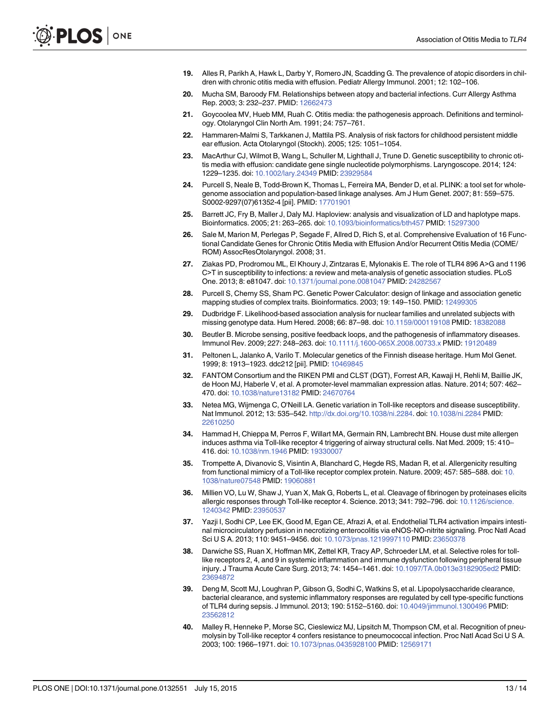- <span id="page-12-0"></span>19. Alles R, Parikh A, Hawk L, Darby Y, Romero JN, Scadding G. The prevalence of atopic disorders in children with chronic otitis media with effusion. Pediatr Allergy Immunol. 2001; 12: 102–106.
- [20.](#page-1-0) Mucha SM, Baroody FM. Relationships between atopy and bacterial infections. Curr Allergy Asthma Rep. 2003; 3: 232–237. PMID: [12662473](http://www.ncbi.nlm.nih.gov/pubmed/12662473)
- [21.](#page-2-0) Goycoolea MV, Hueb MM, Ruah C. Otitis media: the pathogenesis approach. Definitions and terminology. Otolaryngol Clin North Am. 1991; 24: 757–761.
- [22.](#page-2-0) Hammaren-Malmi S, Tarkkanen J, Mattila PS. Analysis of risk factors for childhood persistent middle ear effusion. Acta Otolaryngol (Stockh). 2005; 125: 1051–1054.
- [23.](#page-2-0) MacArthur CJ, Wilmot B, Wang L, Schuller M, Lighthall J, Trune D. Genetic susceptibility to chronic otitis media with effusion: candidate gene single nucleotide polymorphisms. Laryngoscope. 2014; 124: 1229–1235. doi: [10.1002/lary.24349](http://dx.doi.org/10.1002/lary.24349) PMID: [23929584](http://www.ncbi.nlm.nih.gov/pubmed/23929584)
- [24.](#page-3-0) Purcell S, Neale B, Todd-Brown K, Thomas L, Ferreira MA, Bender D, et al. PLINK: a tool set for wholegenome association and population-based linkage analyses. Am J Hum Genet. 2007; 81: 559–575. S0002-9297(07)61352-4 [pii]. PMID: [17701901](http://www.ncbi.nlm.nih.gov/pubmed/17701901)
- [25.](#page-3-0) Barrett JC, Fry B, Maller J, Daly MJ. Haploview: analysis and visualization of LD and haplotype maps. Bioinformatics. 2005; 21: 263–265. doi: [10.1093/bioinformatics/bth457](http://dx.doi.org/10.1093/bioinformatics/bth457) PMID: [15297300](http://www.ncbi.nlm.nih.gov/pubmed/15297300)
- [26.](#page-3-0) Sale M, Marion M, Perlegas P, Segade F, Allred D, Rich S, et al. Comprehensive Evaluation of 16 Functional Candidate Genes for Chronic Otitis Media with Effusion And/or Recurrent Otitis Media (COME/ ROM) AssocResOtolaryngol. 2008; 31.
- [27.](#page-3-0) Ziakas PD, Prodromou ML, El Khoury J, Zintzaras E, Mylonakis E. The role of TLR4 896 A>G and 1196 C>T in susceptibility to infections: a review and meta-analysis of genetic association studies. PLoS One. 2013; 8: e81047. doi: [10.1371/journal.pone.0081047](http://dx.doi.org/10.1371/journal.pone.0081047) PMID: [24282567](http://www.ncbi.nlm.nih.gov/pubmed/24282567)
- [28.](#page-3-0) Purcell S, Cherny SS, Sham PC. Genetic Power Calculator: design of linkage and association genetic mapping studies of complex traits. Bioinformatics. 2003; 19: 149–150. PMID: [12499305](http://www.ncbi.nlm.nih.gov/pubmed/12499305)
- [29.](#page-3-0) Dudbridge F. Likelihood-based association analysis for nuclear families and unrelated subjects with missing genotype data. Hum Hered. 2008; 66: 87–98. doi: [10.1159/000119108](http://dx.doi.org/10.1159/000119108) PMID: [18382088](http://www.ncbi.nlm.nih.gov/pubmed/18382088)
- [30.](#page-4-0) Beutler B. Microbe sensing, positive feedback loops, and the pathogenesis of inflammatory diseases. Immunol Rev. 2009; 227: 248–263. doi: [10.1111/j.1600-065X.2008.00733.x](http://dx.doi.org/10.1111/j.1600-065X.2008.00733.x) PMID: [19120489](http://www.ncbi.nlm.nih.gov/pubmed/19120489)
- [31.](#page-9-0) Peltonen L, Jalanko A, Varilo T. Molecular genetics of the Finnish disease heritage. Hum Mol Genet. 1999; 8: 1913–1923. ddc212 [pii]. PMID: [10469845](http://www.ncbi.nlm.nih.gov/pubmed/10469845)
- [32.](#page-9-0) FANTOM Consortium and the RIKEN PMI and CLST (DGT), Forrest AR, Kawaji H, Rehli M, Baillie JK, de Hoon MJ, Haberle V, et al. A promoter-level mammalian expression atlas. Nature. 2014; 507: 462– 470. doi: [10.1038/nature13182](http://dx.doi.org/10.1038/nature13182) PMID: [24670764](http://www.ncbi.nlm.nih.gov/pubmed/24670764)
- [33.](#page-9-0) Netea MG, Wijmenga C, O'Neill LA. Genetic variation in Toll-like receptors and disease susceptibility. Nat Immunol. 2012; 13: 535–542. <http://dx.doi.org/10.1038/ni.2284>. doi: [10.1038/ni.2284](http://dx.doi.org/10.1038/ni.2284) PMID: [22610250](http://www.ncbi.nlm.nih.gov/pubmed/22610250)
- [34.](#page-9-0) Hammad H, Chieppa M, Perros F, Willart MA, Germain RN, Lambrecht BN. House dust mite allergen induces asthma via Toll-like receptor 4 triggering of airway structural cells. Nat Med. 2009; 15: 410– 416. doi: [10.1038/nm.1946](http://dx.doi.org/10.1038/nm.1946) PMID: [19330007](http://www.ncbi.nlm.nih.gov/pubmed/19330007)
- 35. Trompette A, Divanovic S, Visintin A, Blanchard C, Hegde RS, Madan R, et al. Allergenicity resulting from functional mimicry of a Toll-like receptor complex protein. Nature. 2009; 457: 585–588. doi: [10.](http://dx.doi.org/10.1038/nature07548) [1038/nature07548](http://dx.doi.org/10.1038/nature07548) PMID: [19060881](http://www.ncbi.nlm.nih.gov/pubmed/19060881)
- 36. Millien VO, Lu W, Shaw J, Yuan X, Mak G, Roberts L, et al. Cleavage of fibrinogen by proteinases elicits allergic responses through Toll-like receptor 4. Science. 2013; 341: 792-796. doi: [10.1126/science.](http://dx.doi.org/10.1126/science.1240342) [1240342](http://dx.doi.org/10.1126/science.1240342) PMID: [23950537](http://www.ncbi.nlm.nih.gov/pubmed/23950537)
- 37. Yazji I, Sodhi CP, Lee EK, Good M, Egan CE, Afrazi A, et al. Endothelial TLR4 activation impairs intestinal microcirculatory perfusion in necrotizing enterocolitis via eNOS-NO-nitrite signaling. Proc Natl Acad Sci U S A. 2013; 110: 9451–9456. doi: [10.1073/pnas.1219997110](http://dx.doi.org/10.1073/pnas.1219997110) PMID: [23650378](http://www.ncbi.nlm.nih.gov/pubmed/23650378)
- 38. Darwiche SS, Ruan X, Hoffman MK, Zettel KR, Tracy AP, Schroeder LM, et al. Selective roles for tolllike receptors 2, 4, and 9 in systemic inflammation and immune dysfunction following peripheral tissue injury. J Trauma Acute Care Surg. 2013; 74: 1454–1461. doi: [10.1097/TA.0b013e3182905ed2](http://dx.doi.org/10.1097/TA.0b013e3182905ed2) PMID: [23694872](http://www.ncbi.nlm.nih.gov/pubmed/23694872)
- [39.](#page-9-0) Deng M, Scott MJ, Loughran P, Gibson G, Sodhi C, Watkins S, et al. Lipopolysaccharide clearance, bacterial clearance, and systemic inflammatory responses are regulated by cell type-specific functions of TLR4 during sepsis. J Immunol. 2013; 190: 5152–5160. doi: [10.4049/jimmunol.1300496](http://dx.doi.org/10.4049/jimmunol.1300496) PMID: [23562812](http://www.ncbi.nlm.nih.gov/pubmed/23562812)
- [40.](#page-9-0) Malley R, Henneke P, Morse SC, Cieslewicz MJ, Lipsitch M, Thompson CM, et al. Recognition of pneumolysin by Toll-like receptor 4 confers resistance to pneumococcal infection. Proc Natl Acad Sci U S A. 2003; 100: 1966–1971. doi: [10.1073/pnas.0435928100](http://dx.doi.org/10.1073/pnas.0435928100) PMID: [12569171](http://www.ncbi.nlm.nih.gov/pubmed/12569171)